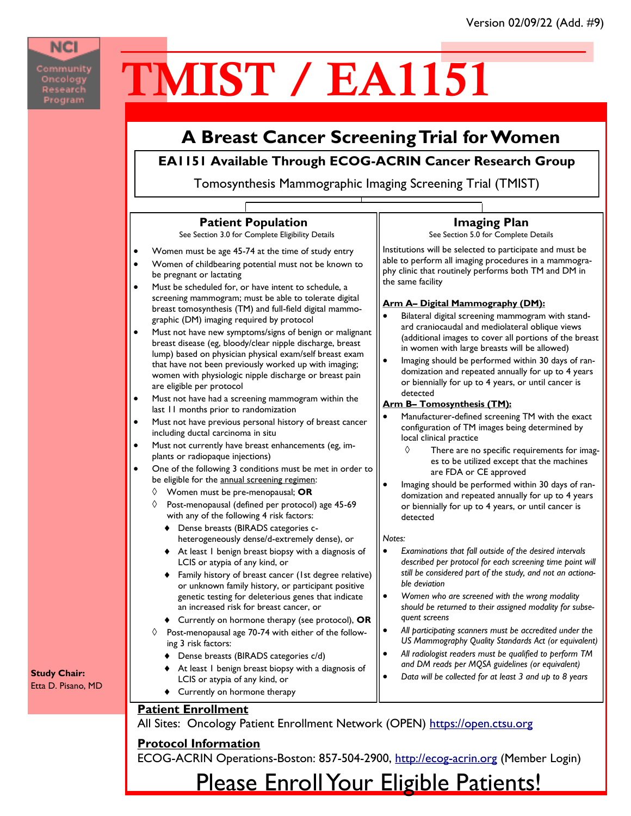## **NCI**

Community Oncology<br>Research Program

Etta D. Pisano, MD

# TMIST / EA1151

### **A Breast Cancer Screening Trial for Women**

#### **EA1151 Available Through ECOG-ACRIN Cancer Research Group**

Tomosynthesis Mammographic Imaging Screening Trial (TMIST)



**Protocol Information**

ECOG-ACRIN Operations-Boston: 857-504-2900, [http://ecog-acrin.org](http://www.ecog-acrin.org/) (Member Login)

Please Enroll Your Eligible Patients!